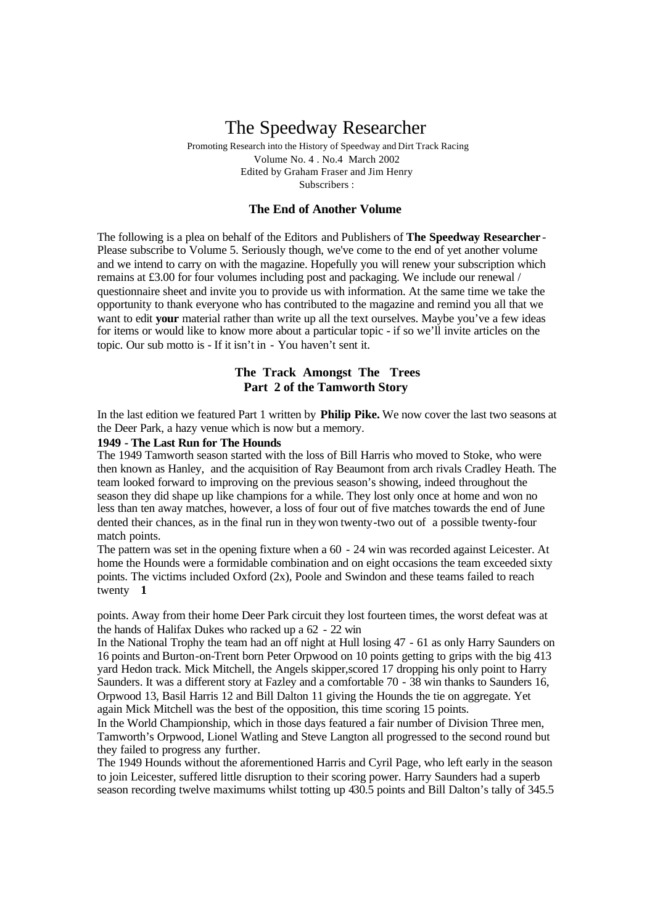## The Speedway Researcher

Promoting Research into the History of Speedway and Dirt Track Racing Volume No. 4 . No.4 March 2002 Edited by Graham Fraser and Jim Henry Subscribers :

## **The End of Another Volume**

The following is a plea on behalf of the Editors and Publishers of **The Speedway Researcher** - Please subscribe to Volume 5. Seriously though, we've come to the end of yet another volume and we intend to carry on with the magazine. Hopefully you will renew your subscription which remains at £3.00 for four volumes including post and packaging. We include our renewal / questionnaire sheet and invite you to provide us with information. At the same time we take the opportunity to thank everyone who has contributed to the magazine and remind you all that we want to edit **your** material rather than write up all the text ourselves. Maybe you've a few ideas for items or would like to know more about a particular topic - if so we'll invite articles on the topic. Our sub motto is - If it isn't in - You haven't sent it.

## **The Track Amongst The Trees Part 2 of the Tamworth Story**

In the last edition we featured Part 1 written by **Philip Pike.** We now cover the last two seasons at the Deer Park, a hazy venue which is now but a memory.

#### **1949 - The Last Run for The Hounds**

The 1949 Tamworth season started with the loss of Bill Harris who moved to Stoke, who were then known as Hanley, and the acquisition of Ray Beaumont from arch rivals Cradley Heath. The team looked forward to improving on the previous season's showing, indeed throughout the season they did shape up like champions for a while. They lost only once at home and won no less than ten away matches, however, a loss of four out of five matches towards the end of June dented their chances, as in the final run in theywon twenty-two out of a possible twenty-four match points.

The pattern was set in the opening fixture when a 60 - 24 win was recorded against Leicester. At home the Hounds were a formidable combination and on eight occasions the team exceeded sixty points. The victims included Oxford (2x), Poole and Swindon and these teams failed to reach twenty **1** 

points. Away from their home Deer Park circuit they lost fourteen times, the worst defeat was at the hands of Halifax Dukes who racked up a 62 - 22 win

In the National Trophy the team had an off night at Hull losing 47 - 61 as only Harry Saunders on 16 points and Burton-on-Trent born Peter Orpwood on 10 points getting to grips with the big 413 yard Hedon track. Mick Mitchell, the Angels skipper,scored 17 dropping his only point to Harry Saunders. It was a different story at Fazley and a comfortable 70 - 38 win thanks to Saunders 16, Orpwood 13, Basil Harris 12 and Bill Dalton 11 giving the Hounds the tie on aggregate. Yet again Mick Mitchell was the best of the opposition, this time scoring 15 points.

In the World Championship, which in those days featured a fair number of Division Three men, Tamworth's Orpwood, Lionel Watling and Steve Langton all progressed to the second round but they failed to progress any further.

The 1949 Hounds without the aforementioned Harris and Cyril Page, who left early in the season to join Leicester, suffered little disruption to their scoring power. Harry Saunders had a superb season recording twelve maximums whilst totting up 430.5 points and Bill Dalton's tally of 345.5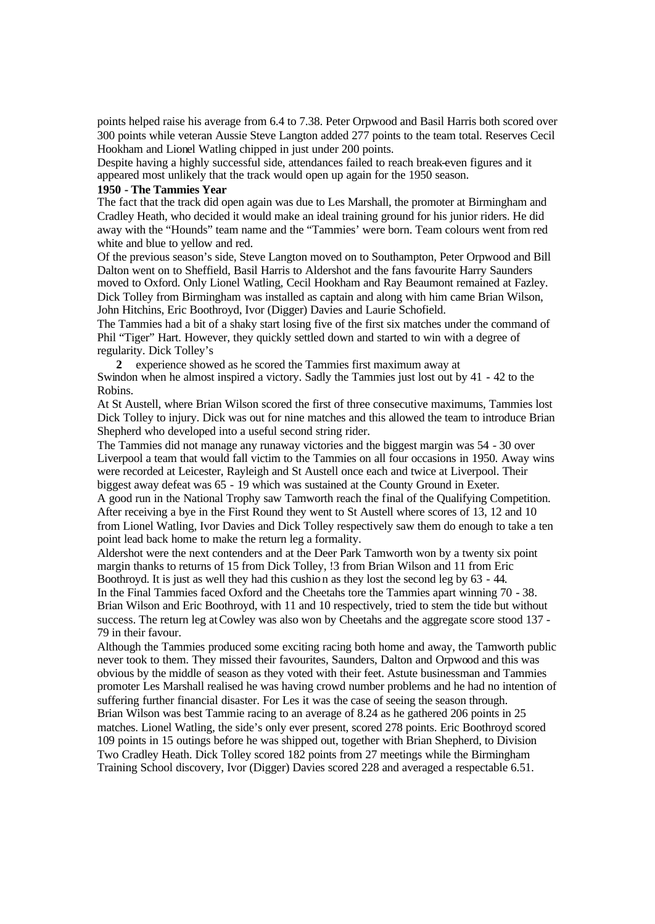points helped raise his average from 6.4 to 7.38. Peter Orpwood and Basil Harris both scored over 300 points while veteran Aussie Steve Langton added 277 points to the team total. Reserves Cecil Hookham and Lionel Watling chipped in just under 200 points.

Despite having a highly successful side, attendances failed to reach break-even figures and it appeared most unlikely that the track would open up again for the 1950 season.

#### **1950 - The Tammies Year**

The fact that the track did open again was due to Les Marshall, the promoter at Birmingham and Cradley Heath, who decided it would make an ideal training ground for his junior riders. He did away with the "Hounds" team name and the "Tammies' were born. Team colours went from red white and blue to yellow and red.

Of the previous season's side, Steve Langton moved on to Southampton, Peter Orpwood and Bill Dalton went on to Sheffield, Basil Harris to Aldershot and the fans favourite Harry Saunders moved to Oxford. Only Lionel Watling, Cecil Hookham and Ray Beaumont remained at Fazley. Dick Tolley from Birmingham was installed as captain and along with him came Brian Wilson, John Hitchins, Eric Boothroyd, Ivor (Digger) Davies and Laurie Schofield.

The Tammies had a bit of a shaky start losing five of the first six matches under the command of Phil "Tiger" Hart. However, they quickly settled down and started to win with a degree of regularity. Dick Tolley's

**2** experience showed as he scored the Tammies first maximum away at Swindon when he almost inspired a victory. Sadly the Tammies just lost out by 41 - 42 to the Robins.

At St Austell, where Brian Wilson scored the first of three consecutive maximums, Tammies lost Dick Tolley to injury. Dick was out for nine matches and this allowed the team to introduce Brian Shepherd who developed into a useful second string rider.

The Tammies did not manage any runaway victories and the biggest margin was 54 - 30 over Liverpool a team that would fall victim to the Tammies on all four occasions in 1950. Away wins were recorded at Leicester, Rayleigh and St Austell once each and twice at Liverpool. Their biggest away defeat was 65 - 19 which was sustained at the County Ground in Exeter.

A good run in the National Trophy saw Tamworth reach the final of the Qualifying Competition. After receiving a bye in the First Round they went to St Austell where scores of 13, 12 and 10 from Lionel Watling, Ivor Davies and Dick Tolley respectively saw them do enough to take a ten point lead back home to make the return leg a formality.

Aldershot were the next contenders and at the Deer Park Tamworth won by a twenty six point margin thanks to returns of 15 from Dick Tolley, !3 from Brian Wilson and 11 from Eric Boothroyd. It is just as well they had this cushion as they lost the second leg by 63 - 44.

In the Final Tammies faced Oxford and the Cheetahs tore the Tammies apart winning 70 - 38. Brian Wilson and Eric Boothroyd, with 11 and 10 respectively, tried to stem the tide but without success. The return leg atCowley was also won by Cheetahs and the aggregate score stood 137 - 79 in their favour.

Although the Tammies produced some exciting racing both home and away, the Tamworth public never took to them. They missed their favourites, Saunders, Dalton and Orpwood and this was obvious by the middle of season as they voted with their feet. Astute businessman and Tammies promoter Les Marshall realised he was having crowd number problems and he had no intention of suffering further financial disaster. For Les it was the case of seeing the season through. Brian Wilson was best Tammie racing to an average of 8.24 as he gathered 206 points in 25 matches. Lionel Watling, the side's only ever present, scored 278 points. Eric Boothroyd scored 109 points in 15 outings before he was shipped out, together with Brian Shepherd, to Division Two Cradley Heath. Dick Tolley scored 182 points from 27 meetings while the Birmingham Training School discovery, Ivor (Digger) Davies scored 228 and averaged a respectable 6.51.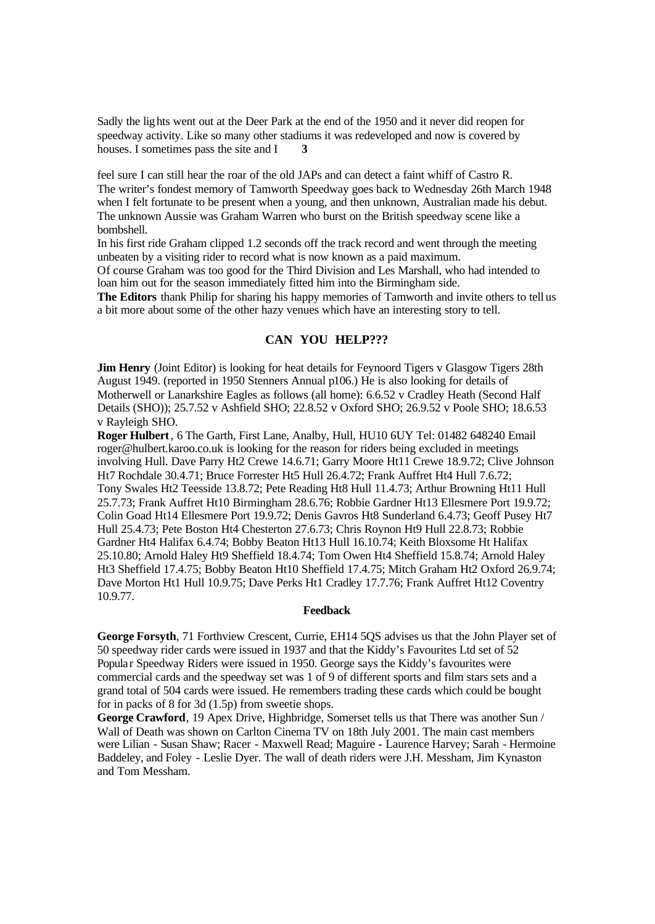Sadly the lights went out at the Deer Park at the end of the 1950 and it never did reopen for speedway activity. Like so many other stadiums it was redeveloped and now is covered by houses. I sometimes pass the site and I **3** 

feel sure I can still hear the roar of the old JAPs and can detect a faint whiff of Castro R. The writer's fondest memory of Tamworth Speedway goes back to Wednesday 26th March 1948 when I felt fortunate to be present when a young, and then unknown, Australian made his debut. The unknown Aussie was Graham Warren who burst on the British speedway scene like a bombshell.

In his first ride Graham clipped 1.2 seconds off the track record and went through the meeting unbeaten by a visiting rider to record what is now known as a paid maximum.

Of course Graham was too good for the Third Division and Les Marshall, who had intended to loan him out for the season immediately fitted him into the Birmingham side.

**The Editors** thank Philip for sharing his happy memories of Tamworth and invite others to tellus a bit more about some of the other hazy venues which have an interesting story to tell.

## **CAN YOU HELP???**

**Jim Henry** (Joint Editor) is looking for heat details for Feynoord Tigers v Glasgow Tigers 28th August 1949. (reported in 1950 Stenners Annual p106.) He is also looking for details of Motherwell or Lanarkshire Eagles as follows (all home): 6.6.52 v Cradley Heath (Second Half Details (SHO)); 25.7.52 v Ashfield SHO; 22.8.52 v Oxford SHO; 26.9.52 v Poole SHO; 18.6.53 v Rayleigh SHO.

**Roger Hulbert**, 6 The Garth, First Lane, Analby, Hull, HU10 6UY Tel: 01482 648240 Email roger@hulbert.karoo.co.uk is looking for the reason for riders being excluded in meetings involving Hull. Dave Parry Ht2 Crewe 14.6.71; Garry Moore Ht11 Crewe 18.9.72; Clive Johnson Ht7 Rochdale 30.4.71; Bruce Forrester Ht5 Hull 26.4.72; Frank Auffret Ht4 Hull 7.6.72; Tony Swales Ht2 Teesside 13.8.72; Pete Reading Ht8 Hull 11.4.73; Arthur Browning Ht11 Hull 25.7.73; Frank Auffret Ht10 Birmingham 28.6.76; Robbie Gardner Ht13 Ellesmere Port 19.9.72; Colin Goad Ht14 Ellesmere Port 19.9.72; Denis Gavros Ht8 Sunderland 6.4.73; Geoff Pusey Ht7 Hull 25.4.73; Pete Boston Ht4 Chesterton 27.6.73; Chris Roynon Ht9 Hull 22.8.73; Robbie Gardner Ht4 Halifax 6.4.74; Bobby Beaton Ht13 Hull 16.10.74; Keith Bloxsome Ht Halifax 25.10.80; Arnold Haley Ht9 Sheffield 18.4.74; Tom Owen Ht4 Sheffield 15.8.74; Arnold Haley Ht3 Sheffield 17.4.75; Bobby Beaton Ht10 Sheffield 17.4.75; Mitch Graham Ht2 Oxford 26.9.74; Dave Morton Ht1 Hull 10.9.75; Dave Perks Ht1 Cradley 17.7.76; Frank Auffret Ht12 Coventry 10.9.77.

#### **Feedback**

**George Forsyth**, 71 Forthview Crescent, Currie, EH14 5QS advises us that the John Player set of 50 speedway rider cards were issued in 1937 and that the Kiddy's Favourites Ltd set of 52 Popular Speedway Riders were issued in 1950. George says the Kiddy's favourites were commercial cards and the speedway set was 1 of 9 of different sports and film stars sets and a grand total of 504 cards were issued. He remembers trading these cards which could be bought for in packs of 8 for 3d (1.5p) from sweetie shops.

**George Crawford**, 19 Apex Drive, Highbridge, Somerset tells us that There was another Sun / Wall of Death was shown on Carlton Cinema TV on 18th July 2001. The main cast members were Lilian - Susan Shaw; Racer - Maxwell Read; Maguire - Laurence Harvey; Sarah - Hermoine Baddeley, and Foley - Leslie Dyer. The wall of death riders were J.H. Messham, Jim Kynaston and Tom Messham.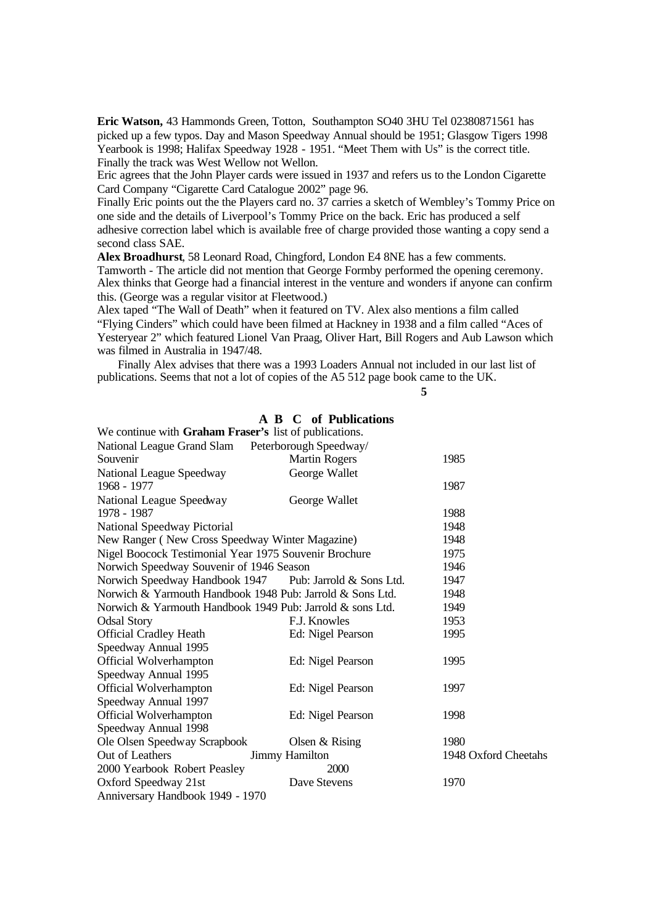**Eric Watson,** 43 Hammonds Green, Totton, Southampton SO40 3HU Tel 02380871561 has picked up a few typos. Day and Mason Speedway Annual should be 1951; Glasgow Tigers 1998 Yearbook is 1998; Halifax Speedway 1928 - 1951. "Meet Them with Us" is the correct title. Finally the track was West Wellow not Wellon.

Eric agrees that the John Player cards were issued in 1937 and refers us to the London Cigarette Card Company "Cigarette Card Catalogue 2002" page 96.

Finally Eric points out the the Players card no. 37 carries a sketch of Wembley's Tommy Price on one side and the details of Liverpool's Tommy Price on the back. Eric has produced a self adhesive correction label which is available free of charge provided those wanting a copy send a second class SAE.

**Alex Broadhurst**, 58 Leonard Road, Chingford, London E4 8NE has a few comments. Tamworth - The article did not mention that George Formby performed the opening ceremony. Alex thinks that George had a financial interest in the venture and wonders if anyone can confirm this. (George was a regular visitor at Fleetwood.)

Alex taped "The Wall of Death" when it featured on TV. Alex also mentions a film called "Flying Cinders" which could have been filmed at Hackney in 1938 and a film called "Aces of Yesteryear 2" which featured Lionel Van Praag, Oliver Hart, Bill Rogers and Aub Lawson which was filmed in Australia in 1947/48.

Finally Alex advises that there was a 1993 Loaders Annual not included in our last list of publications. Seems that not a lot of copies of the A5 512 page book came to the UK.

**5**

#### **A B C of Publications**

| We continue with Graham Fraser's list of publications.    |                                                         |                      |
|-----------------------------------------------------------|---------------------------------------------------------|----------------------|
| National League Grand Slam Peterborough Speedway/         |                                                         |                      |
| Souvenir                                                  | <b>Martin Rogers</b>                                    | 1985                 |
| National League Speedway                                  | George Wallet                                           |                      |
| 1968 - 1977                                               |                                                         | 1987                 |
| National League Speedway                                  | George Wallet                                           |                      |
| 1978 - 1987                                               |                                                         | 1988                 |
| <b>National Speedway Pictorial</b>                        |                                                         | 1948                 |
| New Ranger (New Cross Speedway Winter Magazine)           |                                                         | 1948                 |
| Nigel Boocock Testimonial Year 1975 Souvenir Brochure     |                                                         | 1975                 |
| Norwich Speedway Souvenir of 1946 Season                  |                                                         | 1946                 |
|                                                           | Norwich Speedway Handbook 1947 Pub: Jarrold & Sons Ltd. | 1947                 |
| Norwich & Yarmouth Handbook 1948 Pub: Jarrold & Sons Ltd. |                                                         | 1948                 |
| Norwich & Yarmouth Handbook 1949 Pub: Jarrold & sons Ltd. |                                                         | 1949                 |
| <b>Odsal Story</b>                                        | F.J. Knowles                                            | 1953                 |
| <b>Official Cradley Heath</b>                             | Ed: Nigel Pearson                                       | 1995                 |
| Speedway Annual 1995                                      |                                                         |                      |
| Official Wolverhampton                                    | Ed: Nigel Pearson                                       | 1995                 |
| Speedway Annual 1995                                      |                                                         |                      |
| Official Wolverhampton                                    | Ed: Nigel Pearson                                       | 1997                 |
| Speedway Annual 1997                                      |                                                         |                      |
| Official Wolverhampton                                    | Ed: Nigel Pearson                                       | 1998                 |
| Speedway Annual 1998                                      |                                                         |                      |
| Ole Olsen Speedway Scrapbook                              | Olsen $&$ Rising                                        | 1980                 |
| Out of Leathers                                           | Jimmy Hamilton                                          | 1948 Oxford Cheetahs |
| 2000 Yearbook Robert Peasley                              | 2000                                                    |                      |
| Oxford Speedway 21st                                      | Dave Stevens                                            | 1970                 |
| Anniversary Handbook 1949 - 1970                          |                                                         |                      |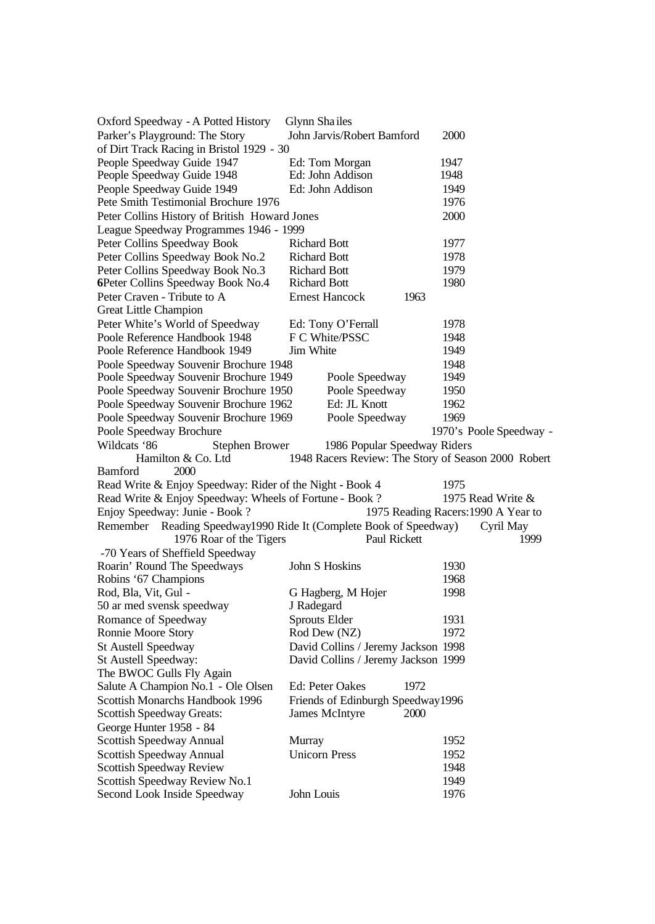| Oxford Speedway - A Potted History                       | Glynn Shailes                                            |                                     |
|----------------------------------------------------------|----------------------------------------------------------|-------------------------------------|
| Parker's Playground: The Story                           | John Jarvis/Robert Bamford                               | 2000                                |
| of Dirt Track Racing in Bristol 1929 - 30                |                                                          |                                     |
| People Speedway Guide 1947                               | Ed: Tom Morgan                                           | 1947                                |
| People Speedway Guide 1948                               | Ed: John Addison                                         | 1948                                |
| People Speedway Guide 1949                               | Ed: John Addison                                         | 1949                                |
| Pete Smith Testimonial Brochure 1976                     |                                                          | 1976                                |
| Peter Collins History of British Howard Jones            |                                                          | 2000                                |
| League Speedway Programmes 1946 - 1999                   |                                                          |                                     |
| Peter Collins Speedway Book                              | <b>Richard Bott</b>                                      | 1977                                |
| Peter Collins Speedway Book No.2                         | <b>Richard Bott</b>                                      | 1978                                |
| Peter Collins Speedway Book No.3                         | <b>Richard Bott</b>                                      | 1979                                |
| 6Peter Collins Speedway Book No.4                        | <b>Richard Bott</b>                                      | 1980                                |
| Peter Craven - Tribute to A                              | <b>Ernest Hancock</b><br>1963                            |                                     |
| Great Little Champion                                    |                                                          |                                     |
| Peter White's World of Speedway                          | Ed: Tony O'Ferrall                                       | 1978                                |
| Poole Reference Handbook 1948                            | F C White/PSSC                                           | 1948                                |
| Poole Reference Handbook 1949                            | Jim White                                                | 1949                                |
| Poole Speedway Souvenir Brochure 1948                    |                                                          | 1948                                |
| Poole Speedway Souvenir Brochure 1949                    | Poole Speedway                                           | 1949                                |
| Poole Speedway Souvenir Brochure 1950                    | Poole Speedway                                           | 1950                                |
| Poole Speedway Souvenir Brochure 1962                    | Ed: JL Knott                                             | 1962                                |
| Poole Speedway Souvenir Brochure 1969                    | Poole Speedway                                           | 1969                                |
| Poole Speedway Brochure                                  |                                                          | 1970's Poole Speedway -             |
| Wildcats '86<br><b>Stephen Brower</b>                    | 1986 Popular Speedway Riders                             |                                     |
| Hamilton & Co. Ltd                                       | 1948 Racers Review: The Story of Season 2000 Robert      |                                     |
| 2000<br>Bamford                                          |                                                          |                                     |
| Read Write & Enjoy Speedway: Rider of the Night - Book 4 |                                                          | 1975                                |
| Read Write & Enjoy Speedway: Wheels of Fortune - Book?   |                                                          | 1975 Read Write &                   |
| Enjoy Speedway: Junie - Book ?                           |                                                          | 1975 Reading Racers: 1990 A Year to |
| Remember                                                 | Reading Speedway1990 Ride It (Complete Book of Speedway) | Cyril May                           |
| 1976 Roar of the Tigers                                  | Paul Rickett                                             | 1999                                |
| -70 Years of Sheffield Speedway                          |                                                          |                                     |
| Roarin' Round The Speedways                              | John S Hoskins                                           | 1930                                |
| Robins '67 Champions                                     |                                                          | 1968                                |
| Rod, Bla, Vit, Gul -                                     | G Hagberg, M Hojer                                       | 1998                                |
| 50 ar med svensk speedway                                | J Radegard                                               |                                     |
| Romance of Speedway                                      | Sprouts Elder                                            | 1931                                |
| Ronnie Moore Story                                       | Rod Dew (NZ)                                             | 1972                                |
| St Austell Speedway                                      | David Collins / Jeremy Jackson 1998                      |                                     |
| St Austell Speedway:                                     | David Collins / Jeremy Jackson 1999                      |                                     |
| The BWOC Gulls Fly Again                                 |                                                          |                                     |
| Salute A Champion No.1 - Ole Olsen                       | Ed: Peter Oakes<br>1972                                  |                                     |
| Scottish Monarchs Handbook 1996                          | Friends of Edinburgh Speedway1996                        |                                     |
| <b>Scottish Speedway Greats:</b>                         | James McIntyre<br>2000                                   |                                     |
| George Hunter 1958 - 84                                  |                                                          |                                     |
| Scottish Speedway Annual                                 | Murray                                                   | 1952                                |
| Scottish Speedway Annual                                 | <b>Unicorn Press</b>                                     | 1952                                |
| Scottish Speedway Review                                 |                                                          | 1948                                |
| Scottish Speedway Review No.1                            |                                                          | 1949                                |
| Second Look Inside Speedway                              | John Louis                                               | 1976                                |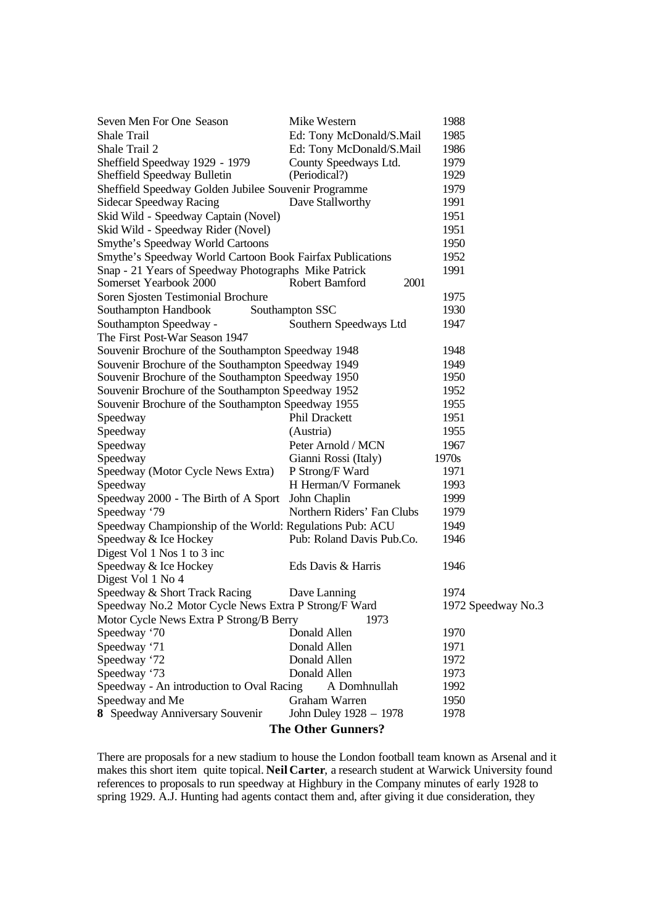| Seven Men For One Season                                  | Mike Western               | 1988               |  |  |  |  |  |  |  |
|-----------------------------------------------------------|----------------------------|--------------------|--|--|--|--|--|--|--|
| <b>Shale Trail</b>                                        | Ed: Tony McDonald/S.Mail   | 1985               |  |  |  |  |  |  |  |
| Shale Trail 2                                             | Ed: Tony McDonald/S.Mail   | 1986               |  |  |  |  |  |  |  |
| Sheffield Speedway 1929 - 1979                            | County Speedways Ltd.      | 1979               |  |  |  |  |  |  |  |
| Sheffield Speedway Bulletin                               | (Periodical?)              | 1929               |  |  |  |  |  |  |  |
| Sheffield Speedway Golden Jubilee Souvenir Programme      |                            | 1979               |  |  |  |  |  |  |  |
| Sidecar Speedway Racing                                   | Dave Stallworthy           | 1991               |  |  |  |  |  |  |  |
| Skid Wild - Speedway Captain (Novel)                      |                            | 1951               |  |  |  |  |  |  |  |
| Skid Wild - Speedway Rider (Novel)                        |                            | 1951               |  |  |  |  |  |  |  |
| Smythe's Speedway World Cartoons                          |                            | 1950               |  |  |  |  |  |  |  |
| Smythe's Speedway World Cartoon Book Fairfax Publications |                            | 1952               |  |  |  |  |  |  |  |
| Snap - 21 Years of Speedway Photographs Mike Patrick      |                            | 1991               |  |  |  |  |  |  |  |
| Somerset Yearbook 2000                                    | 2001<br>Robert Bamford     |                    |  |  |  |  |  |  |  |
| Soren Sjosten Testimonial Brochure                        |                            | 1975               |  |  |  |  |  |  |  |
| Southampton Handbook                                      | Southampton SSC            | 1930               |  |  |  |  |  |  |  |
| Southampton Speedway -                                    | Southern Speedways Ltd     | 1947               |  |  |  |  |  |  |  |
| The First Post-War Season 1947                            |                            |                    |  |  |  |  |  |  |  |
| Souvenir Brochure of the Southampton Speedway 1948        |                            | 1948               |  |  |  |  |  |  |  |
| Souvenir Brochure of the Southampton Speedway 1949        |                            | 1949               |  |  |  |  |  |  |  |
| Souvenir Brochure of the Southampton Speedway 1950        |                            | 1950               |  |  |  |  |  |  |  |
| Souvenir Brochure of the Southampton Speedway 1952        |                            | 1952               |  |  |  |  |  |  |  |
| Souvenir Brochure of the Southampton Speedway 1955        | 1955                       |                    |  |  |  |  |  |  |  |
| Speedway                                                  | Phil Drackett              | 1951               |  |  |  |  |  |  |  |
| Speedway                                                  | (Austria)                  | 1955               |  |  |  |  |  |  |  |
| Speedway                                                  | Peter Arnold / MCN         | 1967               |  |  |  |  |  |  |  |
| Speedway                                                  | Gianni Rossi (Italy)       | 1970s              |  |  |  |  |  |  |  |
| Speedway (Motor Cycle News Extra)                         | P Strong/F Ward            | 1971               |  |  |  |  |  |  |  |
| Speedway                                                  | H Herman/V Formanek        | 1993               |  |  |  |  |  |  |  |
| Speedway 2000 - The Birth of A Sport                      | John Chaplin               | 1999               |  |  |  |  |  |  |  |
| Speedway '79                                              | Northern Riders' Fan Clubs | 1979               |  |  |  |  |  |  |  |
| Speedway Championship of the World: Regulations Pub: ACU  |                            | 1949               |  |  |  |  |  |  |  |
| Speedway & Ice Hockey                                     | Pub: Roland Davis Pub.Co.  | 1946               |  |  |  |  |  |  |  |
| Digest Vol 1 Nos 1 to 3 inc                               |                            |                    |  |  |  |  |  |  |  |
| Speedway & Ice Hockey                                     | Eds Davis & Harris         | 1946               |  |  |  |  |  |  |  |
| Digest Vol 1 No 4                                         |                            |                    |  |  |  |  |  |  |  |
| Speedway & Short Track Racing                             | Dave Lanning               | 1974               |  |  |  |  |  |  |  |
| Speedway No.2 Motor Cycle News Extra P Strong/F Ward      |                            | 1972 Speedway No.3 |  |  |  |  |  |  |  |
| Motor Cycle News Extra P Strong/B Berry                   | 1973                       |                    |  |  |  |  |  |  |  |
| Speedway '70                                              | Donald Allen               | 1970               |  |  |  |  |  |  |  |
| Speedway '71                                              | Donald Allen               | 1971               |  |  |  |  |  |  |  |
| Speedway '72                                              | Donald Allen               | 1972               |  |  |  |  |  |  |  |
| Speedway '73                                              | Donald Allen               | 1973               |  |  |  |  |  |  |  |
| Speedway - An introduction to Oval Racing                 | A Domhnullah               | 1992               |  |  |  |  |  |  |  |
| Speedway and Me                                           | Graham Warren              | 1950               |  |  |  |  |  |  |  |
| 8 Speedway Anniversary Souvenir                           | John Duley 1928 - 1978     | 1978               |  |  |  |  |  |  |  |
| <b>The Other Gunners?</b>                                 |                            |                    |  |  |  |  |  |  |  |

There are proposals for a new stadium to house the London football team known as Arsenal and it makes this short item quite topical. **Neil Carter**, a research student at Warwick University found references to proposals to run speedway at Highbury in the Company minutes of early 1928 to spring 1929. A.J. Hunting had agents contact them and, after giving it due consideration, they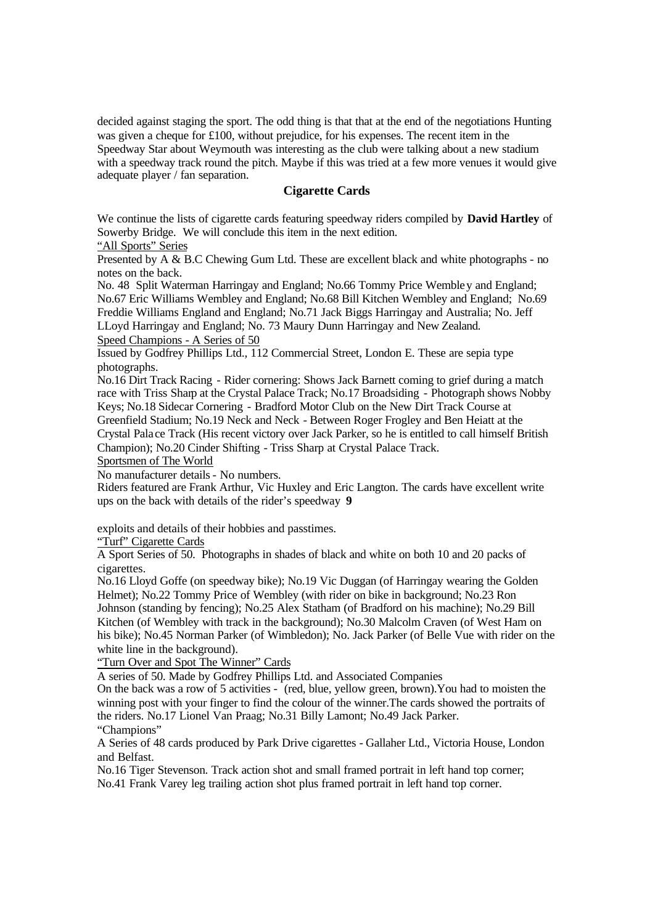decided against staging the sport. The odd thing is that that at the end of the negotiations Hunting was given a cheque for £100, without prejudice, for his expenses. The recent item in the Speedway Star about Weymouth was interesting as the club were talking about a new stadium with a speedway track round the pitch. Maybe if this was tried at a few more venues it would give adequate player / fan separation.

## **Cigarette Cards**

We continue the lists of cigarette cards featuring speedway riders compiled by **David Hartley** of Sowerby Bridge. We will conclude this item in the next edition.

## "All Sports" Series

Presented by A & B.C Chewing Gum Ltd. These are excellent black and white photographs - no notes on the back.

No. 48 Split Waterman Harringay and England; No.66 Tommy Price Wembley and England; No.67 Eric Williams Wembley and England; No.68 Bill Kitchen Wembley and England; No.69 Freddie Williams England and England; No.71 Jack Biggs Harringay and Australia; No. Jeff LLoyd Harringay and England; No. 73 Maury Dunn Harringay and New Zealand. Speed Champions - A Series of 50

Issued by Godfrey Phillips Ltd., 112 Commercial Street, London E. These are sepia type photographs.

No.16 Dirt Track Racing - Rider cornering: Shows Jack Barnett coming to grief during a match race with Triss Sharp at the Crystal Palace Track; No.17 Broadsiding - Photograph shows Nobby Keys; No.18 Sidecar Cornering - Bradford Motor Club on the New Dirt Track Course at Greenfield Stadium; No.19 Neck and Neck - Between Roger Frogley and Ben Heiatt at the Crystal Pala ce Track (His recent victory over Jack Parker, so he is entitled to call himself British Champion); No.20 Cinder Shifting - Triss Sharp at Crystal Palace Track.

Sportsmen of The World

No manufacturer details - No numbers.

Riders featured are Frank Arthur, Vic Huxley and Eric Langton. The cards have excellent write ups on the back with details of the rider's speedway **9**

exploits and details of their hobbies and passtimes.

"Turf" Cigarette Cards

A Sport Series of 50. Photographs in shades of black and white on both 10 and 20 packs of cigarettes.

No.16 Lloyd Goffe (on speedway bike); No.19 Vic Duggan (of Harringay wearing the Golden Helmet); No.22 Tommy Price of Wembley (with rider on bike in background; No.23 Ron Johnson (standing by fencing); No.25 Alex Statham (of Bradford on his machine); No.29 Bill Kitchen (of Wembley with track in the background); No.30 Malcolm Craven (of West Ham on his bike); No.45 Norman Parker (of Wimbledon); No. Jack Parker (of Belle Vue with rider on the white line in the background).

"Turn Over and Spot The Winner" Cards

A series of 50. Made by Godfrey Phillips Ltd. and Associated Companies

On the back was a row of 5 activities - (red, blue, yellow green, brown).You had to moisten the winning post with your finger to find the colour of the winner.The cards showed the portraits of the riders. No.17 Lionel Van Praag; No.31 Billy Lamont; No.49 Jack Parker. "Champions"

A Series of 48 cards produced by Park Drive cigarettes - Gallaher Ltd., Victoria House, London and Belfast.

No.16 Tiger Stevenson. Track action shot and small framed portrait in left hand top corner; No.41 Frank Varey leg trailing action shot plus framed portrait in left hand top corner.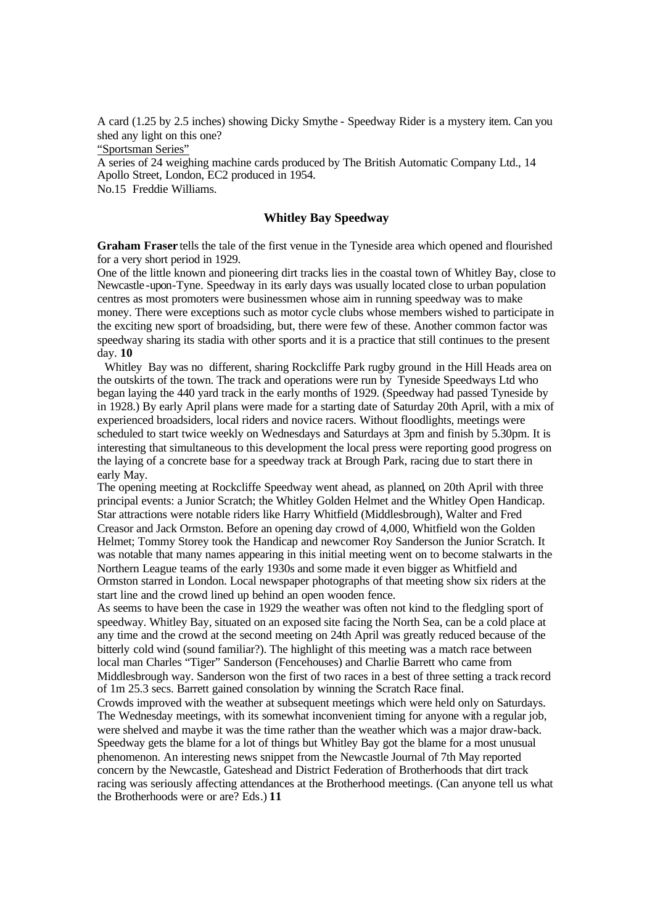A card (1.25 by 2.5 inches) showing Dicky Smythe - Speedway Rider is a mystery item. Can you shed any light on this one? "Sportsman Series"

A series of 24 weighing machine cards produced by The British Automatic Company Ltd., 14 Apollo Street, London, EC2 produced in 1954. No.15 Freddie Williams.

## **Whitley Bay Speedway**

**Graham Fraser** tells the tale of the first venue in the Tyneside area which opened and flourished for a very short period in 1929.

One of the little known and pioneering dirt tracks lies in the coastal town of Whitley Bay, close to Newcastle-upon-Tyne. Speedway in its early days was usually located close to urban population centres as most promoters were businessmen whose aim in running speedway was to make money. There were exceptions such as motor cycle clubs whose members wished to participate in the exciting new sport of broadsiding, but, there were few of these. Another common factor was speedway sharing its stadia with other sports and it is a practice that still continues to the present day. **10** 

Whitley Bay was no different, sharing Rockcliffe Park rugby ground in the Hill Heads area on the outskirts of the town. The track and operations were run by Tyneside Speedways Ltd who began laying the 440 yard track in the early months of 1929. (Speedway had passed Tyneside by in 1928.) By early April plans were made for a starting date of Saturday 20th April, with a mix of experienced broadsiders, local riders and novice racers. Without floodlights, meetings were scheduled to start twice weekly on Wednesdays and Saturdays at 3pm and finish by 5.30pm. It is interesting that simultaneous to this development the local press were reporting good progress on the laying of a concrete base for a speedway track at Brough Park, racing due to start there in early May.

The opening meeting at Rockcliffe Speedway went ahead, as planned, on 20th April with three principal events: a Junior Scratch; the Whitley Golden Helmet and the Whitley Open Handicap. Star attractions were notable riders like Harry Whitfield (Middlesbrough), Walter and Fred Creasor and Jack Ormston. Before an opening day crowd of 4,000, Whitfield won the Golden Helmet; Tommy Storey took the Handicap and newcomer Roy Sanderson the Junior Scratch. It was notable that many names appearing in this initial meeting went on to become stalwarts in the Northern League teams of the early 1930s and some made it even bigger as Whitfield and Ormston starred in London. Local newspaper photographs of that meeting show six riders at the start line and the crowd lined up behind an open wooden fence.

As seems to have been the case in 1929 the weather was often not kind to the fledgling sport of speedway. Whitley Bay, situated on an exposed site facing the North Sea, can be a cold place at any time and the crowd at the second meeting on 24th April was greatly reduced because of the bitterly cold wind (sound familiar?). The highlight of this meeting was a match race between local man Charles "Tiger" Sanderson (Fencehouses) and Charlie Barrett who came from Middlesbrough way. Sanderson won the first of two races in a best of three setting a track record of 1m 25.3 secs. Barrett gained consolation by winning the Scratch Race final.

Crowds improved with the weather at subsequent meetings which were held only on Saturdays. The Wednesday meetings, with its somewhat inconvenient timing for anyone with a regular job, were shelved and maybe it was the time rather than the weather which was a major draw-back. Speedway gets the blame for a lot of things but Whitley Bay got the blame for a most unusual phenomenon. An interesting news snippet from the Newcastle Journal of 7th May reported concern by the Newcastle, Gateshead and District Federation of Brotherhoods that dirt track racing was seriously affecting attendances at the Brotherhood meetings. (Can anyone tell us what the Brotherhoods were or are? Eds.) **11**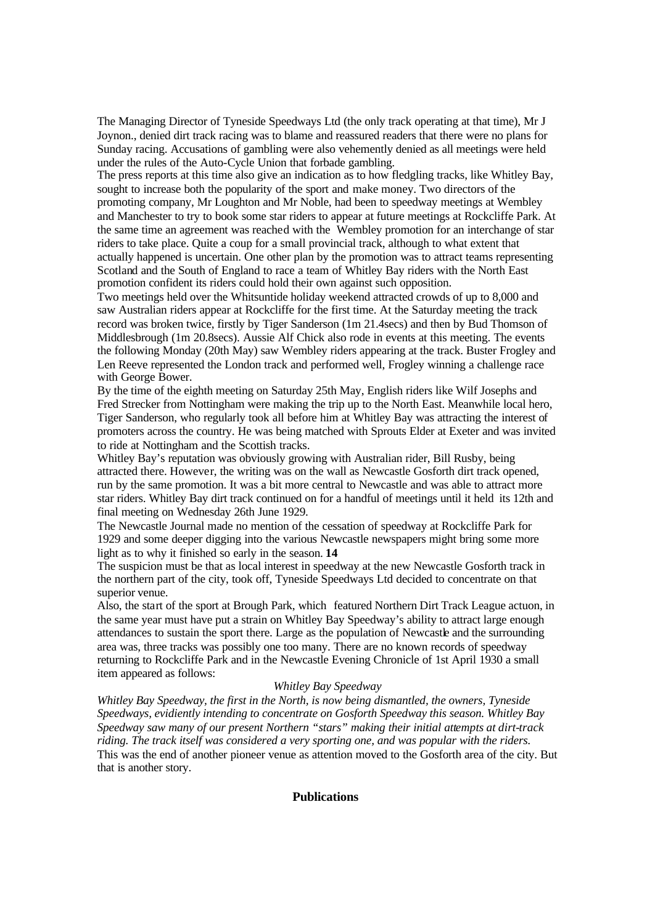The Managing Director of Tyneside Speedways Ltd (the only track operating at that time), Mr J Joynon., denied dirt track racing was to blame and reassured readers that there were no plans for Sunday racing. Accusations of gambling were also vehemently denied as all meetings were held under the rules of the Auto-Cycle Union that forbade gambling.

The press reports at this time also give an indication as to how fledgling tracks, like Whitley Bay, sought to increase both the popularity of the sport and make money. Two directors of the promoting company, Mr Loughton and Mr Noble, had been to speedway meetings at Wembley and Manchester to try to book some star riders to appear at future meetings at Rockcliffe Park. At the same time an agreement was reached with the Wembley promotion for an interchange of star riders to take place. Quite a coup for a small provincial track, although to what extent that actually happened is uncertain. One other plan by the promotion was to attract teams representing Scotland and the South of England to race a team of Whitley Bay riders with the North East promotion confident its riders could hold their own against such opposition.

Two meetings held over the Whitsuntide holiday weekend attracted crowds of up to 8,000 and saw Australian riders appear at Rockcliffe for the first time. At the Saturday meeting the track record was broken twice, firstly by Tiger Sanderson (1m 21.4secs) and then by Bud Thomson of Middlesbrough (1m 20.8secs). Aussie Alf Chick also rode in events at this meeting. The events the following Monday (20th May) saw Wembley riders appearing at the track. Buster Frogley and Len Reeve represented the London track and performed well, Frogley winning a challenge race with George Bower.

By the time of the eighth meeting on Saturday 25th May, English riders like Wilf Josephs and Fred Strecker from Nottingham were making the trip up to the North East. Meanwhile local hero, Tiger Sanderson, who regularly took all before him at Whitley Bay was attracting the interest of promoters across the country. He was being matched with Sprouts Elder at Exeter and was invited to ride at Nottingham and the Scottish tracks.

Whitley Bay's reputation was obviously growing with Australian rider, Bill Rusby, being attracted there. However, the writing was on the wall as Newcastle Gosforth dirt track opened, run by the same promotion. It was a bit more central to Newcastle and was able to attract more star riders. Whitley Bay dirt track continued on for a handful of meetings until it held its 12th and final meeting on Wednesday 26th June 1929.

The Newcastle Journal made no mention of the cessation of speedway at Rockcliffe Park for 1929 and some deeper digging into the various Newcastle newspapers might bring some more light as to why it finished so early in the season. **14** 

The suspicion must be that as local interest in speedway at the new Newcastle Gosforth track in the northern part of the city, took off, Tyneside Speedways Ltd decided to concentrate on that superior venue.

Also, the start of the sport at Brough Park, which featured Northern Dirt Track League actuon, in the same year must have put a strain on Whitley Bay Speedway's ability to attract large enough attendances to sustain the sport there. Large as the population of Newcastle and the surrounding area was, three tracks was possibly one too many. There are no known records of speedway returning to Rockcliffe Park and in the Newcastle Evening Chronicle of 1st April 1930 a small item appeared as follows:

#### *Whitley Bay Speedway*

*Whitley Bay Speedway, the first in the North, is now being dismantled, the owners, Tyneside Speedways, evidiently intending to concentrate on Gosforth Speedway this season. Whitley Bay Speedway saw many of our present Northern "stars" making their initial attempts at dirt-track riding. The track itself was considered a very sporting one, and was popular with the riders.* This was the end of another pioneer venue as attention moved to the Gosforth area of the city. But that is another story.

#### **Publications**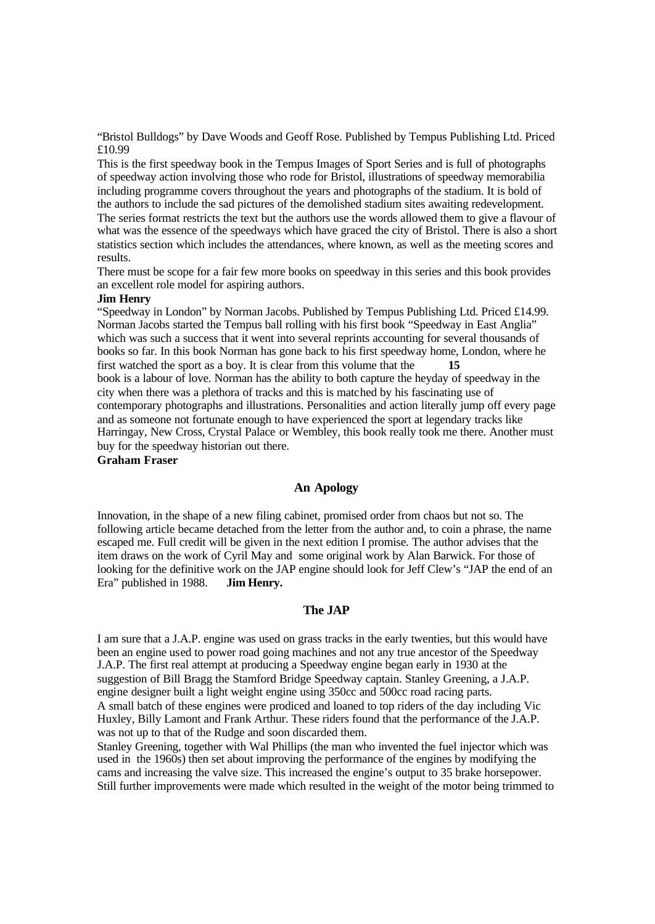"Bristol Bulldogs" by Dave Woods and Geoff Rose. Published by Tempus Publishing Ltd. Priced £10.99

This is the first speedway book in the Tempus Images of Sport Series and is full of photographs of speedway action involving those who rode for Bristol, illustrations of speedway memorabilia including programme covers throughout the years and photographs of the stadium. It is bold of the authors to include the sad pictures of the demolished stadium sites awaiting redevelopment. The series format restricts the text but the authors use the words allowed them to give a flavour of what was the essence of the speedways which have graced the city of Bristol. There is also a short statistics section which includes the attendances, where known, as well as the meeting scores and results.

There must be scope for a fair few more books on speedway in this series and this book provides an excellent role model for aspiring authors.

#### **Jim Henry**

"Speedway in London" by Norman Jacobs. Published by Tempus Publishing Ltd. Priced £14.99. Norman Jacobs started the Tempus ball rolling with his first book "Speedway in East Anglia" which was such a success that it went into several reprints accounting for several thousands of books so far. In this book Norman has gone back to his first speedway home, London, where he first watched the sport as a boy. It is clear from this volume that the **15** book is a labour of love. Norman has the ability to both capture the heyday of speedway in the city when there was a plethora of tracks and this is matched by his fascinating use of contemporary photographs and illustrations. Personalities and action literally jump off every page and as someone not fortunate enough to have experienced the sport at legendary tracks like Harringay, New Cross, Crystal Palace or Wembley, this book really took me there. Another must buy for the speedway historian out there.

## **Graham Fraser**

#### **An Apology**

Innovation, in the shape of a new filing cabinet, promised order from chaos but not so. The following article became detached from the letter from the author and, to coin a phrase, the name escaped me. Full credit will be given in the next edition I promise. The author advises that the item draws on the work of Cyril May and some original work by Alan Barwick. For those of looking for the definitive work on the JAP engine should look for Jeff Clew's "JAP the end of an Era" published in 1988. **Jim Henry.**

#### **The JAP**

I am sure that a J.A.P. engine was used on grass tracks in the early twenties, but this would have been an engine used to power road going machines and not any true ancestor of the Speedway J.A.P. The first real attempt at producing a Speedway engine began early in 1930 at the suggestion of Bill Bragg the Stamford Bridge Speedway captain. Stanley Greening, a J.A.P. engine designer built a light weight engine using 350cc and 500cc road racing parts. A small batch of these engines were prodiced and loaned to top riders of the day including Vic Huxley, Billy Lamont and Frank Arthur. These riders found that the performance of the J.A.P. was not up to that of the Rudge and soon discarded them.

Stanley Greening, together with Wal Phillips (the man who invented the fuel injector which was used in the 1960s) then set about improving the performance of the engines by modifying the cams and increasing the valve size. This increased the engine's output to 35 brake horsepower. Still further improvements were made which resulted in the weight of the motor being trimmed to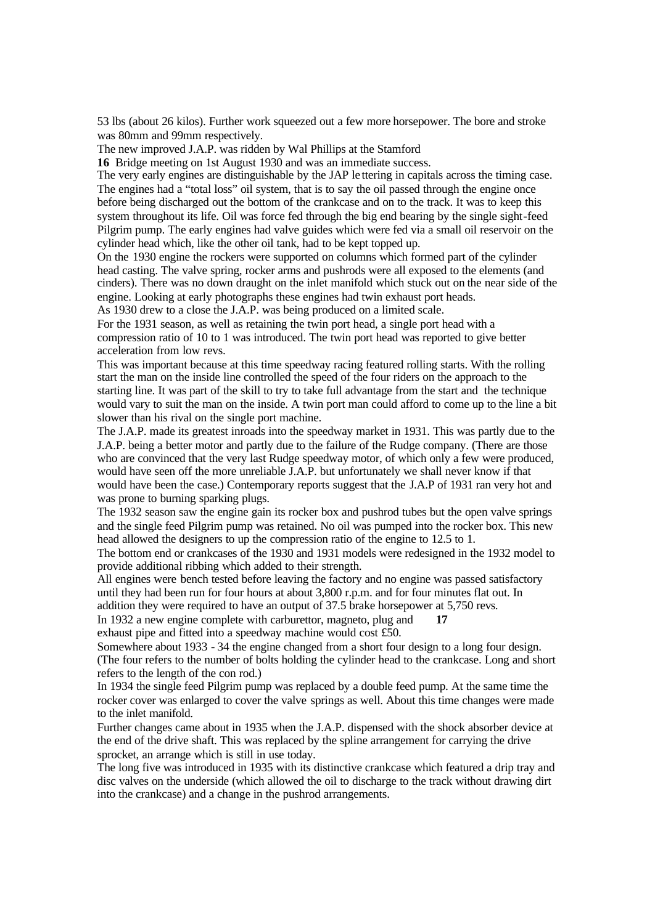53 lbs (about 26 kilos). Further work squeezed out a few more horsepower. The bore and stroke was 80mm and 99mm respectively.

The new improved J.A.P. was ridden by Wal Phillips at the Stamford

**16** Bridge meeting on 1st August 1930 and was an immediate success.

The very early engines are distinguishable by the JAP le ttering in capitals across the timing case. The engines had a "total loss" oil system, that is to say the oil passed through the engine once before being discharged out the bottom of the crankcase and on to the track. It was to keep this system throughout its life. Oil was force fed through the big end bearing by the single sight-feed Pilgrim pump. The early engines had valve guides which were fed via a small oil reservoir on the cylinder head which, like the other oil tank, had to be kept topped up.

On the 1930 engine the rockers were supported on columns which formed part of the cylinder head casting. The valve spring, rocker arms and pushrods were all exposed to the elements (and cinders). There was no down draught on the inlet manifold which stuck out on the near side of the engine. Looking at early photographs these engines had twin exhaust port heads.

As 1930 drew to a close the J.A.P. was being produced on a limited scale.

For the 1931 season, as well as retaining the twin port head, a single port head with a compression ratio of 10 to 1 was introduced. The twin port head was reported to give better acceleration from low revs.

This was important because at this time speedway racing featured rolling starts. With the rolling start the man on the inside line controlled the speed of the four riders on the approach to the starting line. It was part of the skill to try to take full advantage from the start and the technique would vary to suit the man on the inside. A twin port man could afford to come up to the line a bit slower than his rival on the single port machine.

The J.A.P. made its greatest inroads into the speedway market in 1931. This was partly due to the J.A.P. being a better motor and partly due to the failure of the Rudge company. (There are those who are convinced that the very last Rudge speedway motor, of which only a few were produced, would have seen off the more unreliable J.A.P. but unfortunately we shall never know if that would have been the case.) Contemporary reports suggest that the J.A.P of 1931 ran very hot and was prone to burning sparking plugs.

The 1932 season saw the engine gain its rocker box and pushrod tubes but the open valve springs and the single feed Pilgrim pump was retained. No oil was pumped into the rocker box. This new head allowed the designers to up the compression ratio of the engine to 12.5 to 1.

The bottom end or crankcases of the 1930 and 1931 models were redesigned in the 1932 model to provide additional ribbing which added to their strength.

All engines were bench tested before leaving the factory and no engine was passed satisfactory until they had been run for four hours at about 3,800 r.p.m. and for four minutes flat out. In addition they were required to have an output of 37.5 brake horsepower at 5,750 revs.

In 1932 a new engine complete with carburettor, magneto, plug and **17**

exhaust pipe and fitted into a speedway machine would cost £50.

Somewhere about 1933 - 34 the engine changed from a short four design to a long four design. (The four refers to the number of bolts holding the cylinder head to the crankcase. Long and short refers to the length of the con rod.)

In 1934 the single feed Pilgrim pump was replaced by a double feed pump. At the same time the rocker cover was enlarged to cover the valve springs as well. About this time changes were made to the inlet manifold.

Further changes came about in 1935 when the J.A.P. dispensed with the shock absorber device at the end of the drive shaft. This was replaced by the spline arrangement for carrying the drive sprocket, an arrange which is still in use today.

The long five was introduced in 1935 with its distinctive crankcase which featured a drip tray and disc valves on the underside (which allowed the oil to discharge to the track without drawing dirt into the crankcase) and a change in the pushrod arrangements.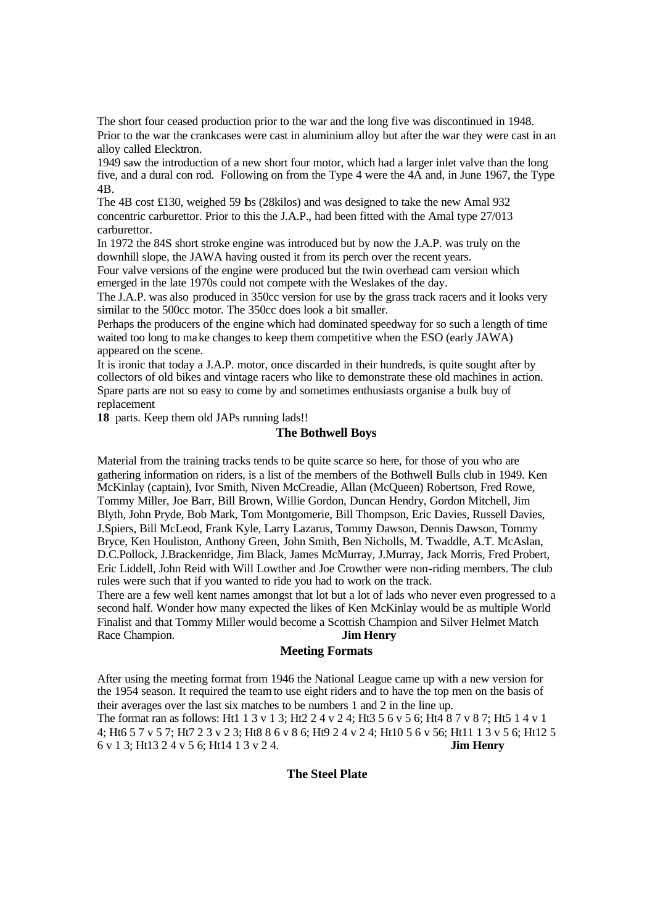The short four ceased production prior to the war and the long five was discontinued in 1948. Prior to the war the crankcases were cast in aluminium alloy but after the war they were cast in an alloy called Elecktron.

1949 saw the introduction of a new short four motor, which had a larger inlet valve than the long five, and a dural con rod. Following on from the Type 4 were the 4A and, in June 1967, the Type 4B.

The 4B cost £130, weighed 59 lbs (28kilos) and was designed to take the new Amal 932 concentric carburettor. Prior to this the J.A.P., had been fitted with the Amal type 27/013 carburettor.

In 1972 the 84S short stroke engine was introduced but by now the J.A.P. was truly on the downhill slope, the JAWA having ousted it from its perch over the recent years.

Four valve versions of the engine were produced but the twin overhead cam version which emerged in the late 1970s could not compete with the Weslakes of the day.

The J.A.P. was also produced in 350cc version for use by the grass track racers and it looks very similar to the 500cc motor. The 350cc does look a bit smaller.

Perhaps the producers of the engine which had dominated speedway for so such a length of time waited too long to make changes to keep them competitive when the ESO (early JAWA) appeared on the scene.

It is ironic that today a J.A.P. motor, once discarded in their hundreds, is quite sought after by collectors of old bikes and vintage racers who like to demonstrate these old machines in action. Spare parts are not so easy to come by and sometimes enthusiasts organise a bulk buy of replacement

**18** parts. Keep them old JAPs running lads!!

## **The Bothwell Boys**

Material from the training tracks tends to be quite scarce so here, for those of you who are gathering information on riders, is a list of the members of the Bothwell Bulls club in 1949. Ken McKinlay (captain), Ivor Smith, Niven McCreadie, Allan (McQueen) Robertson, Fred Rowe, Tommy Miller, Joe Barr, Bill Brown, Willie Gordon, Duncan Hendry, Gordon Mitchell, Jim Blyth, John Pryde, Bob Mark, Tom Montgomerie, Bill Thompson, Eric Davies, Russell Davies, J.Spiers, Bill McLeod, Frank Kyle, Larry Lazarus, Tommy Dawson, Dennis Dawson, Tommy Bryce, Ken Houliston, Anthony Green, John Smith, Ben Nicholls, M. Twaddle, A.T. McAslan, D.C.Pollock, J.Brackenridge, Jim Black, James McMurray, J.Murray, Jack Morris, Fred Probert, Eric Liddell, John Reid with Will Lowther and Joe Crowther were non-riding members. The club rules were such that if you wanted to ride you had to work on the track.

There are a few well kent names amongst that lot but a lot of lads who never even progressed to a second half. Wonder how many expected the likes of Ken McKinlay would be as multiple World Finalist and that Tommy Miller would become a Scottish Champion and Silver Helmet Match Race Champion. **Jim Henry** 

#### **Meeting Formats**

After using the meeting format from 1946 the National League came up with a new version for the 1954 season. It required the teamto use eight riders and to have the top men on the basis of their averages over the last six matches to be numbers 1 and 2 in the line up. The format ran as follows: Ht1 1 3 v 1 3; Ht2 2 4 v 2 4; Ht3 5 6 v 5 6; Ht4 8 7 v 8 7; Ht5 1 4 v 1 4; Ht6 5 7 v 5 7; Ht7 2 3 v 2 3; Ht8 8 6 v 8 6; Ht9 2 4 v 2 4; Ht10 5 6 v 56; Ht11 1 3 v 5 6; Ht12 5 6 v 1 3; Ht13 2 4 v 5 6; Ht14 1 3 v 2 4. **Jim Henry**

## **The Steel Plate**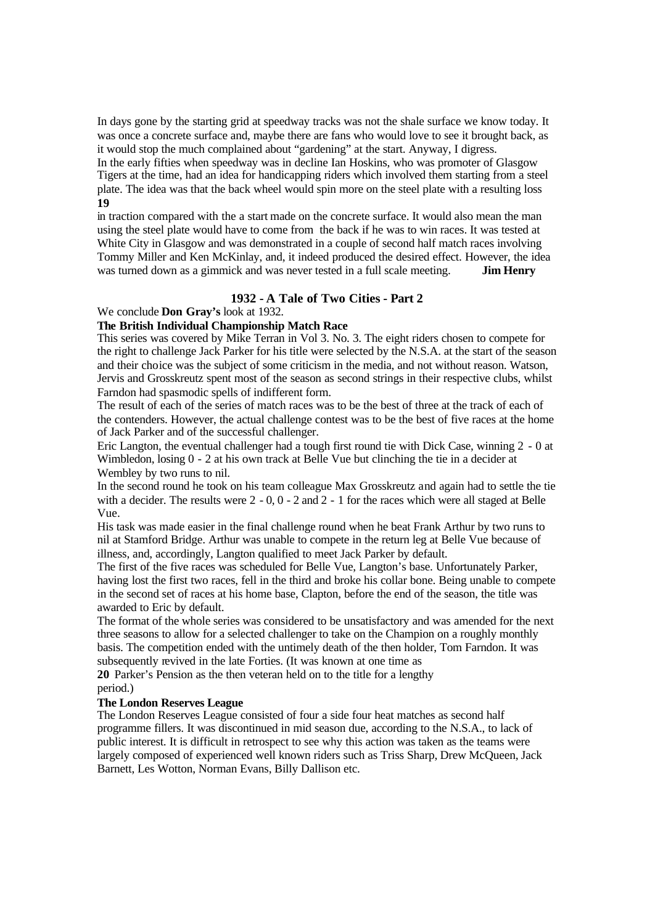In days gone by the starting grid at speedway tracks was not the shale surface we know today. It was once a concrete surface and, maybe there are fans who would love to see it brought back, as it would stop the much complained about "gardening" at the start. Anyway, I digress.

In the early fifties when speedway was in decline Ian Hoskins, who was promoter of Glasgow Tigers at the time, had an idea for handicapping riders which involved them starting from a steel plate. The idea was that the back wheel would spin more on the steel plate with a resulting loss **19** 

in traction compared with the a start made on the concrete surface. It would also mean the man using the steel plate would have to come from the back if he was to win races. It was tested at White City in Glasgow and was demonstrated in a couple of second half match races involving Tommy Miller and Ken McKinlay, and, it indeed produced the desired effect. However, the idea was turned down as a gimmick and was never tested in a full scale meeting. **Jim Henry**

## **1932 - A Tale of Two Cities - Part 2**

We conclude **Don Gray's** look at 1932.

## **The British Individual Championship Match Race**

This series was covered by Mike Terran in Vol 3. No. 3. The eight riders chosen to compete for the right to challenge Jack Parker for his title were selected by the N.S.A. at the start of the season and their choice was the subject of some criticism in the media, and not without reason. Watson, Jervis and Grosskreutz spent most of the season as second strings in their respective clubs, whilst Farndon had spasmodic spells of indifferent form.

The result of each of the series of match races was to be the best of three at the track of each of the contenders. However, the actual challenge contest was to be the best of five races at the home of Jack Parker and of the successful challenger.

Eric Langton, the eventual challenger had a tough first round tie with Dick Case, winning 2 - 0 at Wimbledon, losing  $0 - 2$  at his own track at Belle Vue but clinching the tie in a decider at Wembley by two runs to nil.

In the second round he took on his team colleague Max Grosskreutz and again had to settle the tie with a decider. The results were 2 - 0, 0 - 2 and 2 - 1 for the races which were all staged at Belle Vue.

His task was made easier in the final challenge round when he beat Frank Arthur by two runs to nil at Stamford Bridge. Arthur was unable to compete in the return leg at Belle Vue because of illness, and, accordingly, Langton qualified to meet Jack Parker by default.

The first of the five races was scheduled for Belle Vue, Langton's base. Unfortunately Parker, having lost the first two races, fell in the third and broke his collar bone. Being unable to compete in the second set of races at his home base, Clapton, before the end of the season, the title was awarded to Eric by default.

The format of the whole series was considered to be unsatisfactory and was amended for the next three seasons to allow for a selected challenger to take on the Champion on a roughly monthly basis. The competition ended with the untimely death of the then holder, Tom Farndon. It was subsequently revived in the late Forties. (It was known at one time as

**20** Parker's Pension as the then veteran held on to the title for a lengthy period.)

## **The London Reserves League**

The London Reserves League consisted of four a side four heat matches as second half programme fillers. It was discontinued in mid season due, according to the N.S.A., to lack of public interest. It is difficult in retrospect to see why this action was taken as the teams were largely composed of experienced well known riders such as Triss Sharp, Drew McQueen, Jack Barnett, Les Wotton, Norman Evans, Billy Dallison etc.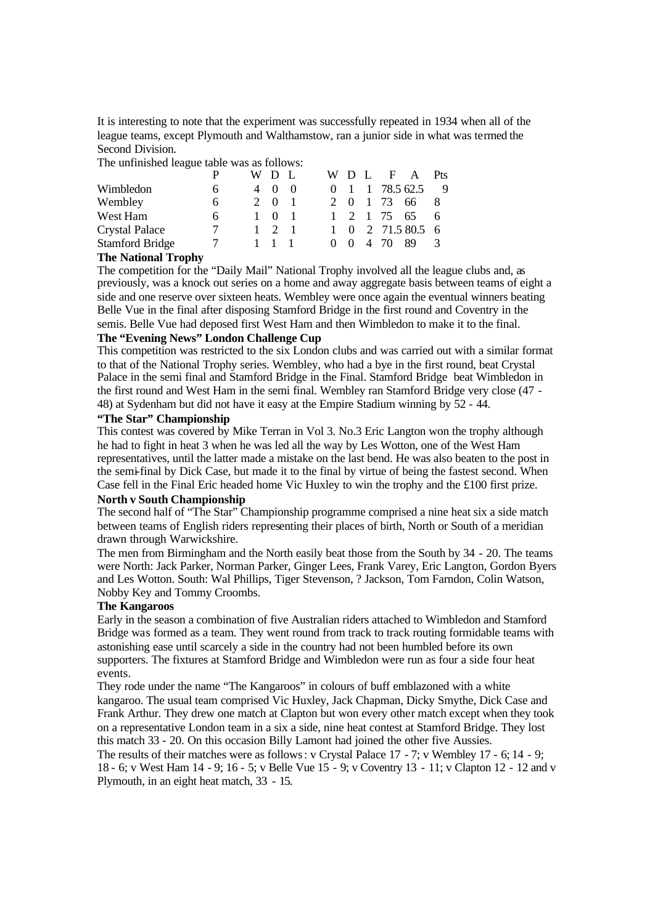It is interesting to note that the experiment was successfully repeated in 1934 when all of the league teams, except Plymouth and Walthamstow, ran a junior side in what was termed the Second Division.

The unfinished league table was as follows:

|   |  |     |  |          |                                           |              |      | Pts                                                                                                   |
|---|--|-----|--|----------|-------------------------------------------|--------------|------|-------------------------------------------------------------------------------------------------------|
| h |  |     |  |          |                                           |              |      | - 9                                                                                                   |
| 6 |  |     |  |          |                                           |              |      |                                                                                                       |
| 6 |  |     |  |          |                                           |              |      |                                                                                                       |
|   |  |     |  | $\Omega$ |                                           |              |      |                                                                                                       |
|   |  |     |  |          |                                           |              | -89  | $\mathcal{R}$                                                                                         |
|   |  | WD. |  |          | WD.<br>2 0<br>$\mathbf{1}$<br>$0 \quad 0$ | $\mathbf{L}$ | 4 70 | F A<br>$0 \quad 1 \quad 1 \quad 78.5 \quad 62.5$<br>1 73 66<br>$1 \t2 \t1 \t75 \t65$<br>2 71.5 80.5 6 |

## **The National Trophy**

The competition for the "Daily Mail" National Trophy involved all the league clubs and, as previously, was a knock out series on a home and away aggregate basis between teams of eight a side and one reserve over sixteen heats. Wembley were once again the eventual winners beating Belle Vue in the final after disposing Stamford Bridge in the first round and Coventry in the semis. Belle Vue had deposed first West Ham and then Wimbledon to make it to the final.

## **The "Evening News" London Challenge Cup**

This competition was restricted to the six London clubs and was carried out with a similar format to that of the National Trophy series. Wembley, who had a bye in the first round, beat Crystal Palace in the semi final and Stamford Bridge in the Final. Stamford Bridge beat Wimbledon in the first round and West Ham in the semi final. Wembley ran Stamford Bridge very close (47 - 48) at Sydenham but did not have it easy at the Empire Stadium winning by 52 - 44.

#### **"The Star" Championship**

This contest was covered by Mike Terran in Vol 3. No.3 Eric Langton won the trophy although he had to fight in heat 3 when he was led all the way by Les Wotton, one of the West Ham representatives, until the latter made a mistake on the last bend. He was also beaten to the post in the semi-final by Dick Case, but made it to the final by virtue of being the fastest second. When Case fell in the Final Eric headed home Vic Huxley to win the trophy and the  $\pounds 100$  first prize.

#### **North v South Championship**

The second half of "The Star" Championship programme comprised a nine heat six a side match between teams of English riders representing their places of birth, North or South of a meridian drawn through Warwickshire.

The men from Birmingham and the North easily beat those from the South by 34 - 20. The teams were North: Jack Parker, Norman Parker, Ginger Lees, Frank Varey, Eric Langton, Gordon Byers and Les Wotton. South: Wal Phillips, Tiger Stevenson, ? Jackson, Tom Farndon, Colin Watson, Nobby Key and Tommy Croombs.

#### **The Kangaroos**

Early in the season a combination of five Australian riders attached to Wimbledon and Stamford Bridge was formed as a team. They went round from track to track routing formidable teams with astonishing ease until scarcely a side in the country had not been humbled before its own supporters. The fixtures at Stamford Bridge and Wimbledon were run as four a side four heat events.

They rode under the name "The Kangaroos" in colours of buff emblazoned with a white kangaroo. The usual team comprised Vic Huxley, Jack Chapman, Dicky Smythe, Dick Case and Frank Arthur. They drew one match at Clapton but won every other match except when they took on a representative London team in a six a side, nine heat contest at Stamford Bridge. They lost this match 33 - 20. On this occasion Billy Lamont had joined the other five Aussies.

The results of their matches were as follows: v Crystal Palace 17 - 7; v Wembley 17 - 6; 14 - 9; 18 - 6; v West Ham 14 - 9; 16 - 5; v Belle Vue 15 - 9; v Coventry 13 - 11; v Clapton 12 - 12 and v Plymouth, in an eight heat match, 33 - 15.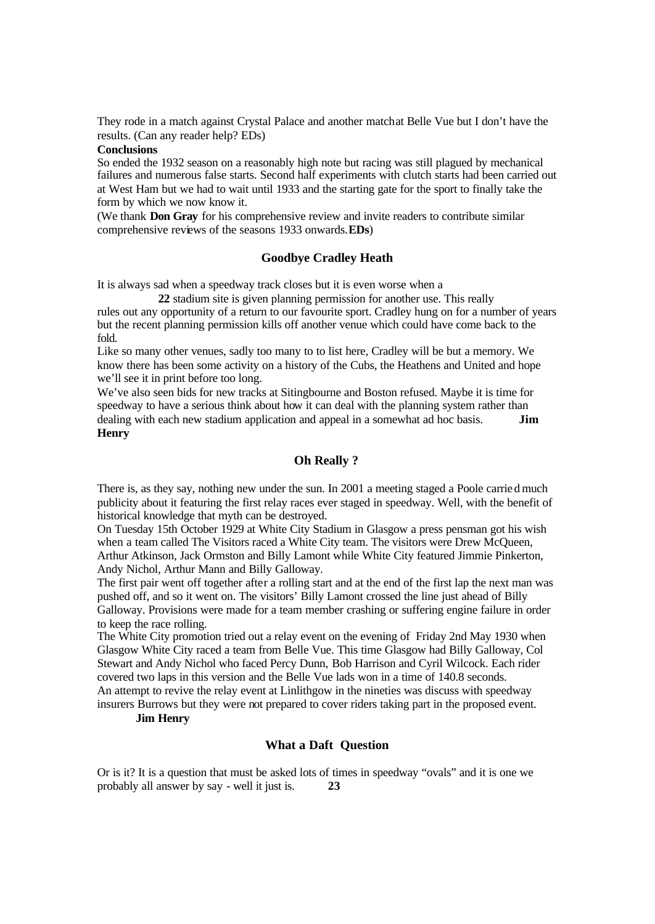They rode in a match against Crystal Palace and another matchat Belle Vue but I don't have the results. (Can any reader help? EDs)

## **Conclusions**

So ended the 1932 season on a reasonably high note but racing was still plagued by mechanical failures and numerous false starts. Second half experiments with clutch starts had been carried out at West Ham but we had to wait until 1933 and the starting gate for the sport to finally take the form by which we now know it.

(We thank **Don Gray** for his comprehensive review and invite readers to contribute similar comprehensive reviews of the seasons 1933 onwards.**EDs**)

## **Goodbye Cradley Heath**

It is always sad when a speedway track closes but it is even worse when a

**22** stadium site is given planning permission for another use. This really rules out any opportunity of a return to our favourite sport. Cradley hung on for a number of years but the recent planning permission kills off another venue which could have come back to the fold.

Like so many other venues, sadly too many to to list here, Cradley will be but a memory. We know there has been some activity on a history of the Cubs, the Heathens and United and hope we'll see it in print before too long.

We've also seen bids for new tracks at Sitingbourne and Boston refused. Maybe it is time for speedway to have a serious think about how it can deal with the planning system rather than dealing with each new stadium application and appeal in a somewhat ad hoc basis. **Jim Henry**

## **Oh Really ?**

There is, as they say, nothing new under the sun. In 2001 a meeting staged a Poole carried much publicity about it featuring the first relay races ever staged in speedway. Well, with the benefit of historical knowledge that myth can be destroyed.

On Tuesday 15th October 1929 at White City Stadium in Glasgow a press pensman got his wish when a team called The Visitors raced a White City team. The visitors were Drew McQueen, Arthur Atkinson, Jack Ormston and Billy Lamont while White City featured Jimmie Pinkerton, Andy Nichol, Arthur Mann and Billy Galloway.

The first pair went off together after a rolling start and at the end of the first lap the next man was pushed off, and so it went on. The visitors' Billy Lamont crossed the line just ahead of Billy Galloway. Provisions were made for a team member crashing or suffering engine failure in order to keep the race rolling.

The White City promotion tried out a relay event on the evening of Friday 2nd May 1930 when Glasgow White City raced a team from Belle Vue. This time Glasgow had Billy Galloway, Col Stewart and Andy Nichol who faced Percy Dunn, Bob Harrison and Cyril Wilcock. Each rider covered two laps in this version and the Belle Vue lads won in a time of 140.8 seconds. An attempt to revive the relay event at Linlithgow in the nineties was discuss with speedway

insurers Burrows but they were not prepared to cover riders taking part in the proposed event.

## **Jim Henry**

## **What a Daft Question**

Or is it? It is a question that must be asked lots of times in speedway "ovals" and it is one we probably all answer by say - well it just is. **23**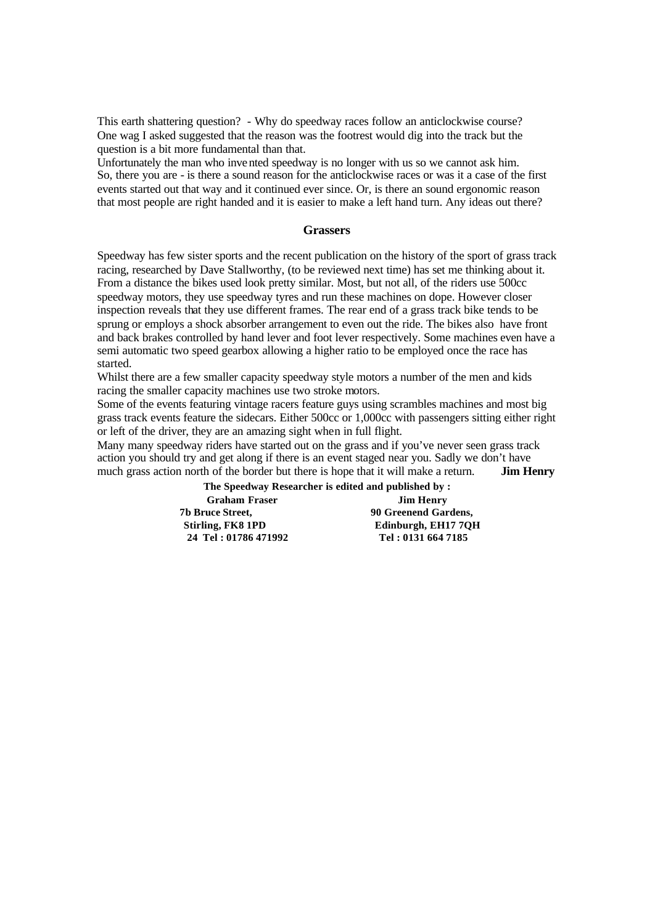This earth shattering question? - Why do speedway races follow an anticlockwise course? One wag I asked suggested that the reason was the footrest would dig into the track but the question is a bit more fundamental than that.

Unfortunately the man who invented speedway is no longer with us so we cannot ask him. So, there you are - is there a sound reason for the anticlockwise races or was it a case of the first events started out that way and it continued ever since. Or, is there an sound ergonomic reason that most people are right handed and it is easier to make a left hand turn. Any ideas out there?

#### **Grassers**

Speedway has few sister sports and the recent publication on the history of the sport of grass track racing, researched by Dave Stallworthy, (to be reviewed next time) has set me thinking about it. From a distance the bikes used look pretty similar. Most, but not all, of the riders use 500cc speedway motors, they use speedway tyres and run these machines on dope. However closer inspection reveals that they use different frames. The rear end of a grass track bike tends to be sprung or employs a shock absorber arrangement to even out the ride. The bikes also have front and back brakes controlled by hand lever and foot lever respectively. Some machines even have a semi automatic two speed gearbox allowing a higher ratio to be employed once the race has started.

Whilst there are a few smaller capacity speedway style motors a number of the men and kids racing the smaller capacity machines use two stroke motors.

Some of the events featuring vintage racers feature guys using scrambles machines and most big grass track events feature the sidecars. Either 500cc or 1,000cc with passengers sitting either right or left of the driver, they are an amazing sight when in full flight.

Many many speedway riders have started out on the grass and if you've never seen grass track action you should try and get along if there is an event staged near you. Sadly we don't have much grass action north of the border but there is hope that it will make a return. **Jim Henry** 

> **The Speedway Researcher is edited and published by : Graham Fraser Jim Henry 7b Bruce Street, 90 Greenend Gardens, Stirling, FK8 1PD Edinburgh, EH17 7QH**<br> **24 Tel: 01786 471992 Tel: 0131 664 7185 24 Tel : 01786 471992 Tel : 0131 664 7185**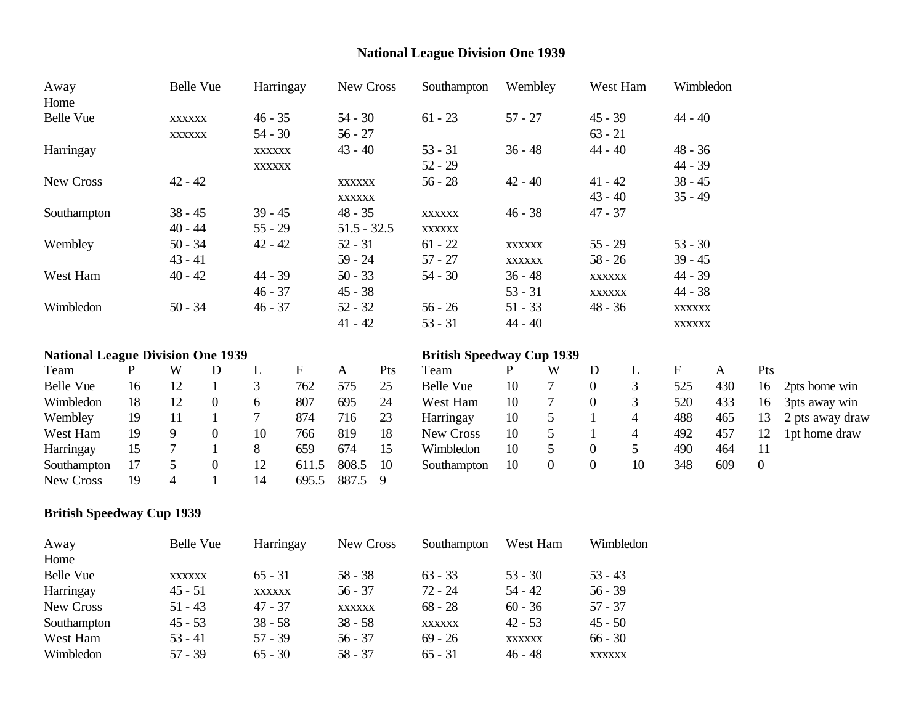# **National League Division One 1939**

| Away                                     |                                                      | Belle Vue                |                        | Harringay     |           | New Cross     |                        | Southampton                             | Wembley       |                  |                | West Ham       | Wimbledon     |              |                |                 |
|------------------------------------------|------------------------------------------------------|--------------------------|------------------------|---------------|-----------|---------------|------------------------|-----------------------------------------|---------------|------------------|----------------|----------------|---------------|--------------|----------------|-----------------|
| Home                                     |                                                      |                          |                        |               |           |               |                        |                                         |               |                  |                |                |               |              |                |                 |
| Belle Vue                                |                                                      | <b>XXXXXX</b>            |                        | $46 - 35$     |           |               | $61 - 23$<br>$54 - 30$ |                                         | $57 - 27$     |                  |                | $45 - 39$      |               | 44 - 40      |                |                 |
|                                          |                                                      | <b>XXXXXX</b>            |                        | $54 - 30$     |           | $56 - 27$     |                        |                                         |               |                  | $63 - 21$      |                |               |              |                |                 |
| Harringay                                |                                                      |                          |                        | <b>XXXXXX</b> |           | $43 - 40$     |                        | $53 - 31$                               | $36 - 48$     |                  | $44 - 40$      |                | 48 - 36       |              |                |                 |
|                                          |                                                      |                          |                        | <b>XXXXXX</b> |           |               |                        | $52 - 29$                               |               |                  |                |                | 44 - 39       |              |                |                 |
| New Cross                                |                                                      | $42 - 42$                |                        |               |           | <b>XXXXXX</b> |                        | $56 - 28$                               | $42 - 40$     |                  | $41 - 42$      |                | $38 - 45$     |              |                |                 |
|                                          |                                                      |                          |                        |               |           | <b>XXXXXX</b> |                        |                                         |               |                  | $43 - 40$      |                | $35 - 49$     |              |                |                 |
| Southampton                              |                                                      | $38 - 45$                |                        | $39 - 45$     |           | $48 - 35$     |                        | <b>XXXXXX</b>                           | $46 - 38$     |                  | $47 - 37$      |                |               |              |                |                 |
|                                          |                                                      | $40 - 44$                |                        | $55 - 29$     |           | $51.5 - 32.5$ |                        | <b>XXXXXX</b>                           |               |                  |                |                |               |              |                |                 |
| Wembley                                  |                                                      | $50 - 34$                |                        | $42 - 42$     |           | $52 - 31$     |                        | $61 - 22$                               | <b>XXXXXX</b> |                  | $55 - 29$      |                | $53 - 30$     |              |                |                 |
|                                          | $43 - 41$<br>$59 - 24$<br>$57 - 27$<br><b>XXXXXX</b> |                          |                        | $58 - 26$     |           | $39 - 45$     |                        |                                         |               |                  |                |                |               |              |                |                 |
| West Ham                                 |                                                      | $40 - 42$                |                        | $44 - 39$     |           | $50 - 33$     |                        | $36 - 48$<br>$54 - 30$<br><b>XXXXXX</b> |               | 44 - 39          |                |                |               |              |                |                 |
|                                          |                                                      |                          |                        | $46 - 37$     |           | $45 - 38$     |                        |                                         | $53 - 31$     |                  | <b>XXXXXX</b>  |                | $44 - 38$     |              |                |                 |
| Wimbledon                                | $50 - 34$<br>$46 - 37$<br>$56 - 26$<br>$52 - 32$     |                          | $51 - 33$<br>$48 - 36$ |               |           | <b>XXXXXX</b> |                        |                                         |               |                  |                |                |               |              |                |                 |
|                                          |                                                      |                          |                        |               |           | $41 - 42$     |                        | $53 - 31$                               | $44 - 40$     |                  |                |                | <b>XXXXXX</b> |              |                |                 |
| <b>National League Division One 1939</b> |                                                      |                          |                        |               |           |               |                        | <b>British Speedway Cup 1939</b>        |               |                  |                |                |               |              |                |                 |
| Team                                     | P                                                    | W                        | D                      | L             | ${\bf F}$ | $\mathbf{A}$  | Pts                    | Team                                    | P             | W                | D              | L              | $\mathbf F$   | $\mathbf{A}$ | Pts            |                 |
| Belle Vue                                | 16                                                   | 12                       | 1                      | 3             | 762       | 575           | 25                     | <b>Belle Vue</b>                        | 10            | $\tau$           | $\overline{0}$ | 3              | 525           | 430          | 16             | 2pts home win   |
| Wimbledon                                | 18                                                   | 12                       | $\mathbf{0}$           | 6             | 807       | 695           | 24                     | West Ham                                | 10            | $\overline{7}$   | $\mathbf{0}$   | 3              | 520           | 433          | 16             | 3pts away win   |
| Wembley                                  | 19                                                   | 11                       |                        | 7             | 874       | 716           | 23                     | Harringay                               | 10            | $\mathfrak{S}$   |                | 4              | 488           | 465          | 13             | 2 pts away draw |
| West Ham                                 | 19                                                   | 9                        | $\mathbf{0}$           | 10            | 766       | 819           | 18                     | New Cross                               | 10            | 5                |                | $\overline{4}$ | 492           | 457          | 12             | 1pt home draw   |
| Harringay                                | 15                                                   |                          |                        | 8             | 659       | 674           | 15                     | Wimbledon                               | 10            | 5                | $\overline{0}$ | 5              | 490           | 464          | 11             |                 |
| Southampton                              | 17                                                   | 5                        | $\boldsymbol{0}$       | 12            | 611.5     | 808.5         | 10                     | Southampton                             | 10            | $\boldsymbol{0}$ | $\overline{0}$ | 10             | 348           | 609          | $\overline{0}$ |                 |
| New Cross                                | 19                                                   | $\overline{\mathcal{A}}$ |                        | 14            | 695.5     | 887.5         | 9                      |                                         |               |                  |                |                |               |              |                |                 |

## **British Speedway Cup 1939**

| Away        | <b>Belle Vue</b> | Harringay     | New Cross     | Southampton   | West Ham      | Wimbledon     |
|-------------|------------------|---------------|---------------|---------------|---------------|---------------|
| Home        |                  |               |               |               |               |               |
| Belle Vue   | <b>XXXXXX</b>    | $65 - 31$     | $58 - 38$     | $63 - 33$     | $53 - 30$     | $53 - 43$     |
| Harringay   | $45 - 51$        | <b>XXXXXX</b> | $56 - 37$     | $72 - 24$     | $54 - 42$     | $56 - 39$     |
| New Cross   | $51 - 43$        | $47 - 37$     | <b>XXXXXX</b> | $68 - 28$     | $60 - 36$     | $57 - 37$     |
| Southampton | $45 - 53$        | $38 - 58$     | $38 - 58$     | <b>XXXXXX</b> | $42 - 53$     | $45 - 50$     |
| West Ham    | $53 - 41$        | $57 - 39$     | $56 - 37$     | $69 - 26$     | <b>XXXXXX</b> | $66 - 30$     |
| Wimbledon   | $57 - 39$        | $65 - 30$     | $58 - 37$     | $65 - 31$     | $46 - 48$     | <b>XXXXXX</b> |